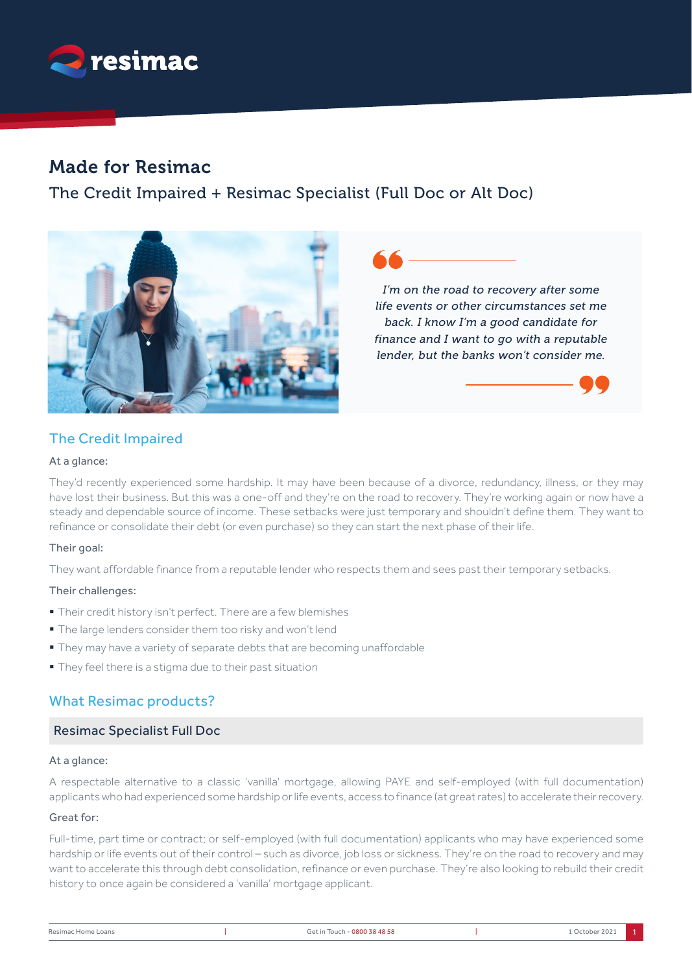

# Made for Resimac

The Credit Impaired + Resimac Specialist (Full Doc or Alt Doc)



*I'm on the road to recovery after some life events or other circumstances set me back. I know I'm a good candidate for finance and I want to go with a reputable lender, but the banks won't consider me.*

# The Credit Impaired

### At a glance:

They'd recently experienced some hardship. It may have been because of a divorce, redundancy, illness, or they may have lost their business. But this was a one-off and they're on the road to recovery. They're working again or now have a steady and dependable source of income. These setbacks were just temporary and shouldn't define them. They want to refinance or consolidate their debt (or even purchase) so they can start the next phase of their life.

## Their goal:

They want affordable finance from a reputable lender who respects them and sees past their temporary setbacks.

### Their challenges:

- § Their credit history isn't perfect. There are a few blemishes
- § The large lenders consider them too risky and won't lend
- They may have a variety of separate debts that are becoming unaffordable
- § They feel there is a stigma due to their past situation

# What Resimac products?

# Resimac Specialist Full Doc

### At a glance:

A respectable alternative to a classic 'vanilla' mortgage, allowing PAYE and self-employed (with full documentation) applicants who had experienced some hardship or life events, access to finance (at great rates) to accelerate their recovery.

### Great for:

Full-time, part time or contract; or self-employed (with full documentation) applicants who may have experienced some hardship or life events out of their control – such as divorce, job loss or sickness. They're on the road to recovery and may want to accelerate this through debt consolidation, refinance or even purchase. They're also looking to rebuild their credit history to once again be considered a 'vanilla' mortgage applicant.

| Resimac Home Loans | Get in Touch - 0800 38 48 58 | 1 October 2021 |
|--------------------|------------------------------|----------------|
|                    |                              |                |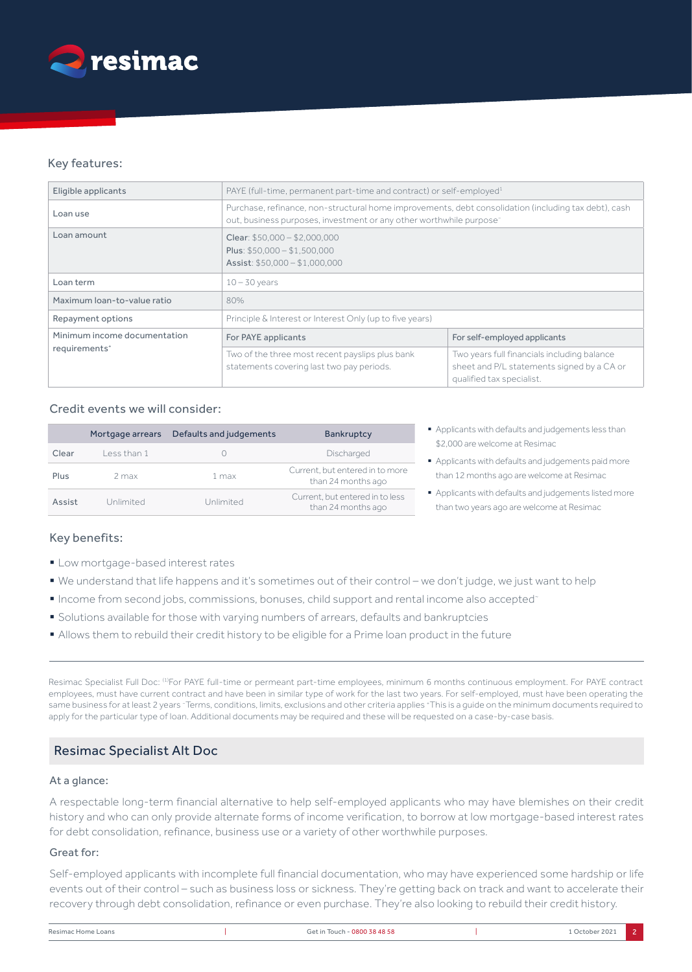

# Key features:

| Eligible applicants          | PAYE (full-time, permanent part-time and contract) or self-employed <sup>1</sup>                                                                                                        |                                                                                                                        |
|------------------------------|-----------------------------------------------------------------------------------------------------------------------------------------------------------------------------------------|------------------------------------------------------------------------------------------------------------------------|
| Loan use                     | Purchase, refinance, non-structural home improvements, debt consolidation (including tax debt), cash<br>out, business purposes, investment or any other worthwhile purpose <sup>-</sup> |                                                                                                                        |
| Loan amount                  | Clear: $$50,000 - $2,000,000$<br>Plus: $$50,000 - $1,500,000$<br>Assist: $$50,000 - $1,000,000$                                                                                         |                                                                                                                        |
| Loan term                    | $10 - 30$ years                                                                                                                                                                         |                                                                                                                        |
| Maximum loan-to-value ratio  | 80%                                                                                                                                                                                     |                                                                                                                        |
| Repayment options            | Principle & Interest or Interest Only (up to five years)                                                                                                                                |                                                                                                                        |
| Minimum income documentation | For PAYE applicants                                                                                                                                                                     | For self-employed applicants                                                                                           |
| requirements <sup>+</sup>    | Two of the three most recent payslips plus bank<br>statements covering last two pay periods.                                                                                            | Two years full financials including balance<br>sheet and P/L statements signed by a CA or<br>qualified tax specialist. |

## Credit events we will consider:

|        | Mortgage arrears | Defaults and judgements | Bankruptcy                                            |
|--------|------------------|-------------------------|-------------------------------------------------------|
| Clear  | Less than 1      |                         | Discharged                                            |
| Plus   | 2 max            | 1 max                   | Current, but entered in to more<br>than 24 months ago |
| Assist | Unlimited        | Unlimited               | Current, but entered in to less<br>than 24 months ago |

## Key benefits:

- Low mortgage-based interest rates
- § We understand that life happens and it's sometimes out of their control we don't judge, we just want to help
- § Income from second jobs, commissions, bonuses, child support and rental income also accepted~
- § Solutions available for those with varying numbers of arrears, defaults and bankruptcies
- § Allows them to rebuild their credit history to be eligible for a Prime loan product in the future

Resimac Specialist Full Doc: (1)For PAYE full-time or permeant part-time employees, minimum 6 months continuous employment. For PAYE contract employees, must have current contract and have been in similar type of work for the last two years. For self-employed, must have been operating the same business for at least 2 years ~ Terms, conditions, limits, exclusions and other criteria applies + This is a guide on the minimum documents required to apply for the particular type of loan. Additional documents may be required and these will be requested on a case-by-case basis.

# Resimac Specialist Alt Doc

### At a glance:

A respectable long-term financial alternative to help self-employed applicants who may have blemishes on their credit history and who can only provide alternate forms of income verification, to borrow at low mortgage-based interest rates for debt consolidation, refinance, business use or a variety of other worthwhile purposes.

### Great for:

Self-employed applicants with incomplete full financial documentation, who may have experienced some hardship or life events out of their control – such as business loss or sickness. They're getting back on track and want to accelerate their recovery through debt consolidation, refinance or even purchase. They're also looking to rebuild their credit history.

| Resimac Home Loans | Get in Touch - 0800 38 48 58 | October 2021 |  |
|--------------------|------------------------------|--------------|--|
|                    |                              |              |  |